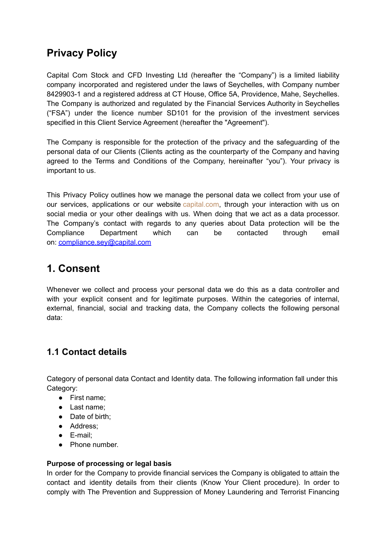# **Privacy Policy**

Capital Com Stock and CFD Investing Ltd (hereafter the "Company") is a limited liability company incorporated and registered under the laws of Seychelles, with Company number 8429903-1 and a registered address at CT House, Office 5A, Providence, Mahe, Seychelles. The Company is authorized and regulated by the Financial Services Authority in Seychelles ("FSA") under the licence number SD101 for the provision of the investment services specified in this Client Service Agreement (hereafter the "Agreement").

The Company is responsible for the protection of the privacy and the safeguarding of the personal data of our Clients (Clients acting as the counterparty of the Company and having agreed to the Terms and Conditions of the Company, hereinafter "you"). Your privacy is important to us.

This Privacy Policy outlines how we manage the personal data we collect from your use of our services, applications or our website [capital.com](https://capital.com/), through your interaction with us on social media or your other dealings with us. When doing that we act as a data processor. The Company's contact with regards to any queries about Data protection will be the Compliance Department which can be contacted through email on: [compliance.sey@capital.com](mailto:compliance.sey@capital.com)

## **1. Consent**

Whenever we collect and process your personal data we do this as a data controller and with your explicit consent and for legitimate purposes. Within the categories of internal, external, financial, social and tracking data, the Company collects the following personal data:

## **1.1 Contact details**

Category of personal data Contact and Identity data. The following information fall under this Category:

- First name;
- Last name;
- Date of birth:
- Address:
- E-mail;
- Phone number.

#### **Purpose of processing or legal basis**

In order for the Company to provide financial services the Company is obligated to attain the contact and identity details from their clients (Know Your Client procedure). In order to comply with The Prevention and Suppression of Money Laundering and Terrorist Financing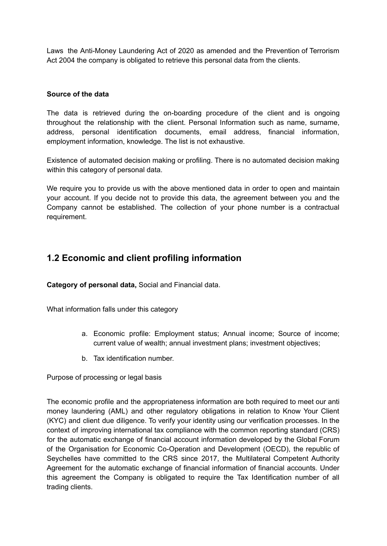Laws the Anti-Money Laundering Act of 2020 as amended and the Prevention of Terrorism Act 2004 the company is obligated to retrieve this personal data from the clients.

#### **Source of the data**

The data is retrieved during the on-boarding procedure of the client and is ongoing throughout the relationship with the client. Personal Information such as name, surname, address, personal identification documents, email address, financial information, employment information, knowledge. The list is not exhaustive.

Existence of automated decision making or profiling. There is no automated decision making within this category of personal data.

We require you to provide us with the above mentioned data in order to open and maintain your account. If you decide not to provide this data, the agreement between you and the Company cannot be established. The collection of your phone number is a contractual requirement.

### **1.2 Economic and client profiling information**

**Category of personal data,** Social and Financial data.

What information falls under this category

- a. Economic profile: Employment status; Annual income; Source of income; current value of wealth; annual investment plans; investment objectives;
- b. Tax identification number.

Purpose of processing or legal basis

The economic profile and the appropriateness information are both required to meet our anti money laundering (AML) and other regulatory obligations in relation to Know Your Client (KYC) and client due diligence. To verify your identity using our verification processes. In the context of improving international tax compliance with the common reporting standard (CRS) for the automatic exchange of financial account information developed by the Global Forum of the Organisation for Economic Co-Operation and Development (OECD), the republic of Seychelles have committed to the CRS since 2017, the Multilateral Competent Authority Agreement for the automatic exchange of financial information of financial accounts. Under this agreement the Company is obligated to require the Tax Identification number of all trading clients.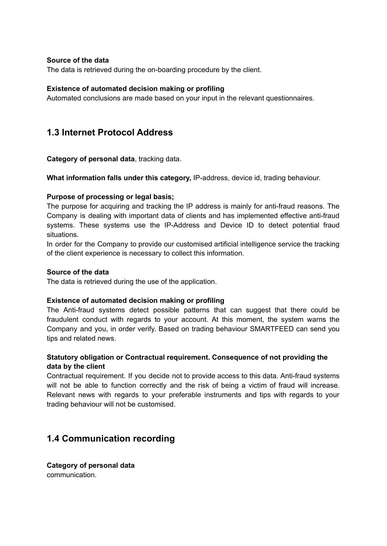#### **Source of the data**

The data is retrieved during the on-boarding procedure by the client.

#### **Existence of automated decision making or profiling**

Automated conclusions are made based on your input in the relevant questionnaires.

### **1.3 Internet Protocol Address**

**Category of personal data**, tracking data.

**What information falls under this category,** IP-address, device id, trading behaviour.

#### **Purpose of processing or legal basis;**

The purpose for acquiring and tracking the IP address is mainly for anti-fraud reasons. The Company is dealing with important data of clients and has implemented effective anti-fraud systems. These systems use the IP-Address and Device ID to detect potential fraud situations.

In order for the Company to provide our customised artificial intelligence service the tracking of the client experience is necessary to collect this information.

#### **Source of the data**

The data is retrieved during the use of the application.

#### **Existence of automated decision making or profiling**

The Anti-fraud systems detect possible patterns that can suggest that there could be fraudulent conduct with regards to your account. At this moment, the system warns the Company and you, in order verify. Based on trading behaviour SMARTFEED can send you tips and related news.

#### **Statutory obligation or Contractual requirement. Consequence of not providing the data by the client**

Contractual requirement. If you decide not to provide access to this data. Anti-fraud systems will not be able to function correctly and the risk of being a victim of fraud will increase. Relevant news with regards to your preferable instruments and tips with regards to your trading behaviour will not be customised.

### **1.4 Communication recording**

**Category of personal data** communication.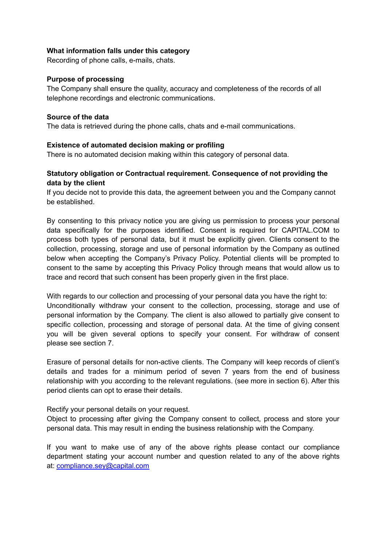#### **What information falls under this category**

Recording of phone calls, e-mails, chats.

#### **Purpose of processing**

The Company shall ensure the quality, accuracy and completeness of the records of all telephone recordings and electronic communications.

#### **Source of the data**

The data is retrieved during the phone calls, chats and e-mail communications.

#### **Existence of automated decision making or profiling**

There is no automated decision making within this category of personal data.

#### **Statutory obligation or Contractual requirement. Consequence of not providing the data by the client**

If you decide not to provide this data, the agreement between you and the Company cannot be established.

By consenting to this privacy notice you are giving us permission to process your personal data specifically for the purposes identified. Consent is required for CAPITAL.COM to process both types of personal data, but it must be explicitly given. Clients consent to the collection, processing, storage and use of personal information by the Company as outlined below when accepting the Company's Privacy Policy. Potential clients will be prompted to consent to the same by accepting this Privacy Policy through means that would allow us to trace and record that such consent has been properly given in the first place.

With regards to our collection and processing of your personal data you have the right to: Unconditionally withdraw your consent to the collection, processing, storage and use of personal information by the Company. The client is also allowed to partially give consent to specific collection, processing and storage of personal data. At the time of giving consent you will be given several options to specify your consent. For withdraw of consent please see section 7.

Erasure of personal details for non-active clients. The Company will keep records of client's details and trades for a minimum period of seven 7 years from the end of business relationship with you according to the relevant regulations. (see more in section 6). After this period clients can opt to erase their details.

Rectify your personal details on your request.

Object to processing after giving the Company consent to collect, process and store your personal data. This may result in ending the business relationship with the Company.

If you want to make use of any of the above rights please contact our compliance department stating your account number and question related to any of the above rights at: [compliance.sey@capital.com](mailto:compliance.sey@capital.com)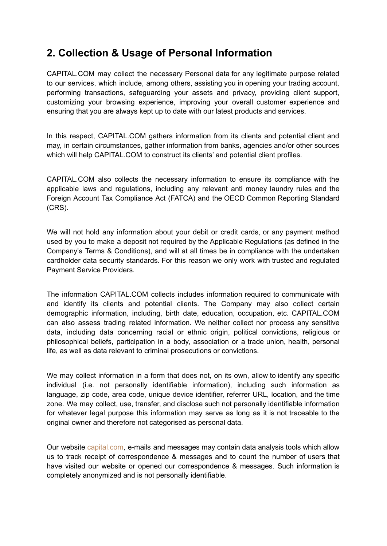## **2. Collection & Usage of Personal Information**

CAPITAL.COM may collect the necessary Personal data for any legitimate purpose related to our services, which include, among others, assisting you in opening your trading account, performing transactions, safeguarding your assets and privacy, providing client support, customizing your browsing experience, improving your overall customer experience and ensuring that you are always kept up to date with our latest products and services.

In this respect, CAPITAL.COM gathers information from its clients and potential client and may, in certain circumstances, gather information from banks, agencies and/or other sources which will help CAPITAL.COM to construct its clients' and potential client profiles.

CAPITAL.COM also collects the necessary information to ensure its compliance with the applicable laws and regulations, including any relevant anti money laundry rules and the Foreign Account Tax Compliance Act (FATCA) and the OECD Common Reporting Standard (CRS).

We will not hold any information about your debit or credit cards, or any payment method used by you to make a deposit not required by the Applicable Regulations (as defined in the Company's Terms & Conditions), and will at all times be in compliance with the undertaken cardholder data security standards. For this reason we only work with trusted and regulated Payment Service Providers.

The information CAPITAL.COM collects includes information required to communicate with and identify its clients and potential clients. The Company may also collect certain demographic information, including, birth date, education, occupation, etc. CAPITAL.COM can also assess trading related information. We neither collect nor process any sensitive data, including data concerning racial or ethnic origin, political convictions, religious or philosophical beliefs, participation in a body, association or a trade union, health, personal life, as well as data relevant to criminal prosecutions or convictions.

We may collect information in a form that does not, on its own, allow to identify any specific individual (i.e. not personally identifiable information), including such information as language, zip code, area code, unique device identifier, referrer URL, location, and the time zone. We may collect, use, transfer, and disclose such not personally identifiable information for whatever legal purpose this information may serve as long as it is not traceable to the original owner and therefore not categorised as personal data.

Our website [capital.com](https://capital.com/), e-mails and messages may contain data analysis tools which allow us to track receipt of correspondence & messages and to count the number of users that have visited our website or opened our correspondence & messages. Such information is completely anonymized and is not personally identifiable.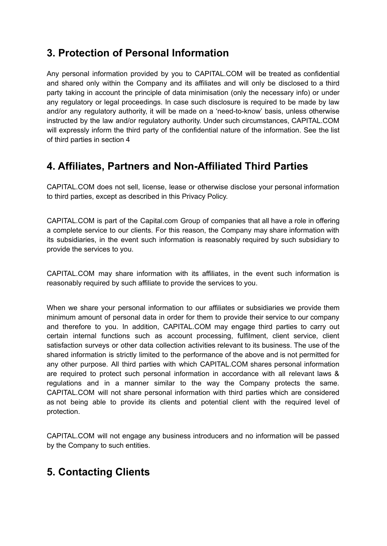## **3. Protection of Personal Information**

Any personal information provided by you to CAPITAL.COM will be treated as confidential and shared only within the Company and its affiliates and will only be disclosed to a third party taking in account the principle of data minimisation (only the necessary info) or under any regulatory or legal proceedings. In case such disclosure is required to be made by law and/or any regulatory authority, it will be made on a 'need-to-know' basis, unless otherwise instructed by the law and/or regulatory authority. Under such circumstances, CAPITAL.COM will expressly inform the third party of the confidential nature of the information. See the list of third parties in section 4

## **4. Affiliates, Partners and Non-Affiliated Third Parties**

CAPITAL.COM does not sell, license, lease or otherwise disclose your personal information to third parties, except as described in this Privacy Policy.

CAPITAL.COM is part of the Capital.com Group of companies that all have a role in offering a complete service to our clients. For this reason, the Company may share information with its subsidiaries, in the event such information is reasonably required by such subsidiary to provide the services to you.

CAPITAL.COM may share information with its affiliates, in the event such information is reasonably required by such affiliate to provide the services to you.

When we share your personal information to our affiliates or subsidiaries we provide them minimum amount of personal data in order for them to provide their service to our company and therefore to you. In addition, CAPITAL.COM may engage third parties to carry out certain internal functions such as account processing, fulfilment, client service, client satisfaction surveys or other data collection activities relevant to its business. The use of the shared information is strictly limited to the performance of the above and is not permitted for any other purpose. All third parties with which CAPITAL.COM shares personal information are required to protect such personal information in accordance with all relevant laws & regulations and in a manner similar to the way the Company protects the same. CAPITAL.COM will not share personal information with third parties which are considered as not being able to provide its clients and potential client with the required level of protection.

CAPITAL.COM will not engage any business introducers and no information will be passed by the Company to such entities.

## **5. Contacting Clients**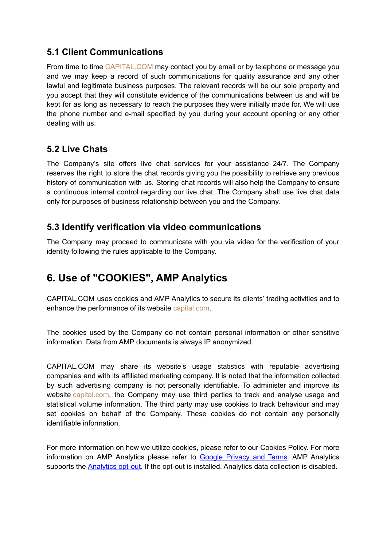### **5.1 Client Communications**

From time to time [CAPITAL.COM](https://capital.com/) may contact you by email or by telephone or message you and we may keep a record of such communications for quality assurance and any other lawful and legitimate business purposes. The relevant records will be our sole property and you accept that they will constitute evidence of the communications between us and will be kept for as long as necessary to reach the purposes they were initially made for. We will use the phone number and e-mail specified by you during your account opening or any other dealing with us.

### **5.2 Live Chats**

The Company's site offers live chat services for your assistance 24/7. The Company reserves the right to store the chat records giving you the possibility to retrieve any previous history of communication with us. Storing chat records will also help the Company to ensure a continuous internal control regarding our live chat. The Company shall use live chat data only for purposes of business relationship between you and the Company.

### **5.3 Identify verification via video communications**

The Company may proceed to communicate with you via video for the verification of your identity following the rules applicable to the Company.

# **6. Use of "COOKIES", AMP Analytics**

CAPITAL.COM uses cookies and AMP Analytics to secure its clients' trading activities and to enhance the performance of its website [capital.com.](https://capital.com/)

The cookies used by the Company do not contain personal information or other sensitive information. Data from AMP documents is always IP anonymized.

CAPITAL.COM may share its website's usage statistics with reputable advertising companies and with its affiliated marketing company. It is noted that the information collected by such advertising company is not personally identifiable. To administer and improve its website [capital.com,](https://capital.com/) the Company may use third parties to track and analyse usage and statistical volume information. The third party may use cookies to track behaviour and may set cookies on behalf of the Company. These cookies do not contain any personally identifiable information.

For more information on how we utilize cookies, please refer to our Cookies Policy. For more information on AMP Analytics please refer to Google [Privacy](https://policies.google.com/technologies/partner-sites) and Terms. AMP Analytics supports the [Analytics](https://tools.google.com/dlpage/gaoptout) opt-out. If the opt-out is installed, Analytics data collection is disabled.